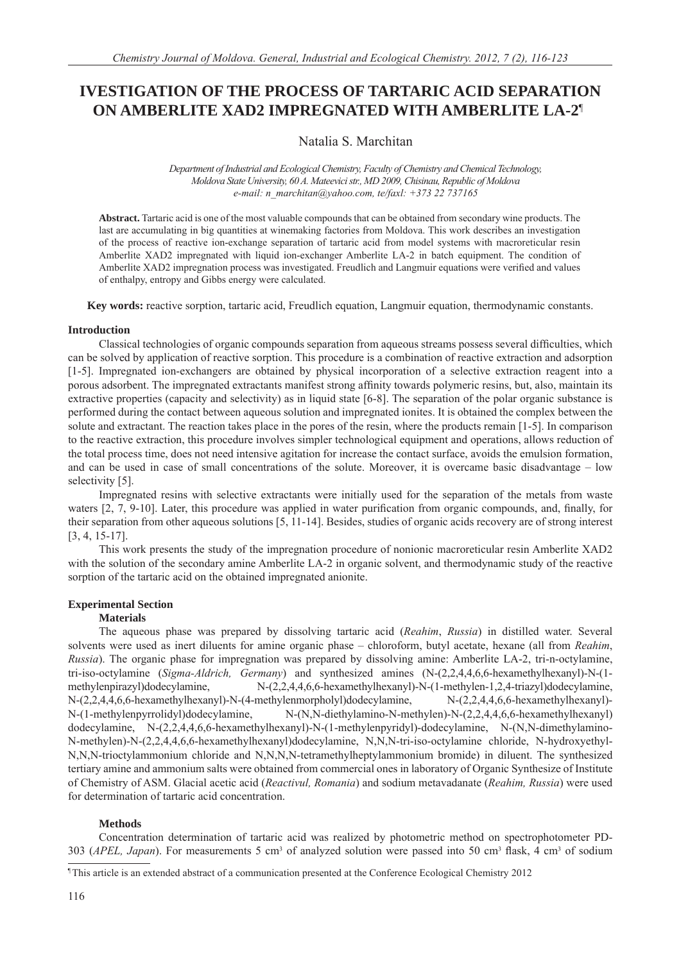# **IVESTIGATION OF THE PROCESS OF TARTARIC ACID SEPARATION ON AMBERLITE XAD2 IMPREGNATED WITH AMBERLITE LA-2**¶**<sup>1</sup>**

Natalia S. Marchitan

*Department of Industrial and Ecological Chemistry, Faculty of Chemistry and Chemical Technology, Moldova State University, 60 A. Mateevici str., MD 2009, Chisinau, Republic of Moldova e-mail: n\_marchitan@yahoo.com, te/faxl: +373 22 737165*

**Abstract.** Tartaric acid is one of the most valuable compounds that can be obtained from secondary wine products. The last are accumulating in big quantities at winemaking factories from Moldova. This work describes an investigation of the process of reactive ion-exchange separation of tartaric acid from model systems with macroreticular resin Amberlite XAD2 impregnated with liquid ion-exchanger Amberlite LA-2 in batch equipment. The condition of Amberlite XAD2 impregnation process was investigated. Freudlich and Langmuir equations were verified and values of enthalpy, entropy and Gibbs energy were calculated.

**Key words:** reactive sorption, tartaric acid, Freudlich equation, Langmuir equation, thermodynamic constants.

## **Introduction**

Classical technologies of organic compounds separation from aqueous streams possess several difficulties, which can be solved by application of reactive sorption. This procedure is a combination of reactive extraction and adsorption [1-5]. Impregnated ion-exchangers are obtained by physical incorporation of a selective extraction reagent into a porous adsorbent. The impregnated extractants manifest strong affinity towards polymeric resins, but, also, maintain its extractive properties (capacity and selectivity) as in liquid state [6-8]. The separation of the polar organic substance is performed during the contact between aqueous solution and impregnated ionites. It is obtained the complex between the solute and extractant. The reaction takes place in the pores of the resin, where the products remain [1-5]. In comparison to the reactive extraction, this procedure involves simpler technological equipment and operations, allows reduction of the total process time, does not need intensive agitation for increase the contact surface, avoids the emulsion formation, and can be used in case of small concentrations of the solute. Moreover, it is overcame basic disadvantage – low selectivity [5].

Impregnated resins with selective extractants were initially used for the separation of the metals from waste waters  $[2, 7, 9-10]$ . Later, this procedure was applied in water purification from organic compounds, and, finally, for their separation from other aqueous solutions [5, 11-14]. Besides, studies of organic acids recovery are of strong interest [3, 4, 15-17].

This work presents the study of the impregnation procedure of nonionic macroreticular resin Amberlite XAD2 with the solution of the secondary amine Amberlite LA-2 in organic solvent, and thermodynamic study of the reactive sorption of the tartaric acid on the obtained impregnated anionite.

## **Experimental Section**

## **Materials**

The aqueous phase was prepared by dissolving tartaric acid (*Reahim*, *Russia*) in distilled water. Several solvents were used as inert diluents for amine organic phase – chloroform, butyl acetate, hexane (all from *Reahim*, *Russia*). The organic phase for impregnation was prepared by dissolving amine: Amberlite LA-2, tri-n-octylamine, tri-iso-octylamine (*Sigma-Aldrich, Germany*) and synthesized amines (N-(2,2,4,4,6,6-hexamethylhexanyl)-N-(1 methylenpirazyl)dodecylamine, N-(2,2,4,4,6,6-hexamethylhexanyl)-N-(1-methylen-1,2,4-triazyl)dodecylamine, N-(2,2,4,4,6,6-hexamethylhexanyl)-N-(4-methylenmorpholyl)dodecylamine, N-(2,2,4,4,6,6-hexamethylhexanyl)- N-(1-methylenpyrrolidyl)dodecylamine, N-(N,N-diethylamino-N-methylen)-N-(2,2,4,4,6,6-hexamethylhexanyl) dodecylamine, N-(2,2,4,4,6,6-hexamethylhexanyl)-N-(1-methylenpyridyl)-dodecylamine, N-(N,N-dimethylamino-N-methylen)-N-(2,2,4,4,6,6-hexamethylhexanyl)dodecylamine, N,N,N-tri-iso-octylamine chloride, N-hydroxyethyl-N,N,N-trioctylammonium chloride and N,N,N,N-tetramethylheptylammonium bromide) in diluent. The synthesized tertiary amine and ammonium salts were obtained from commercial ones in laboratory of Organic Synthesize of Institute of Chemistry of ASM. Glacial acetic acid (*Reactivul, Romania*) and sodium metavadanate (*Reahim, Russia*) were used for determination of tartaric acid concentration.

## **Methods**

Concentration determination of tartaric acid was realized by photometric method on spectrophotometer PD-303 (*APEL*, *Japan*). For measurements 5 cm<sup>3</sup> of analyzed solution were passed into 50 cm<sup>3</sup> flask, 4 cm<sup>3</sup> of sodium

¶ This article is an extended abstract of a communication presented at the Conference Ecological Chemistry 2012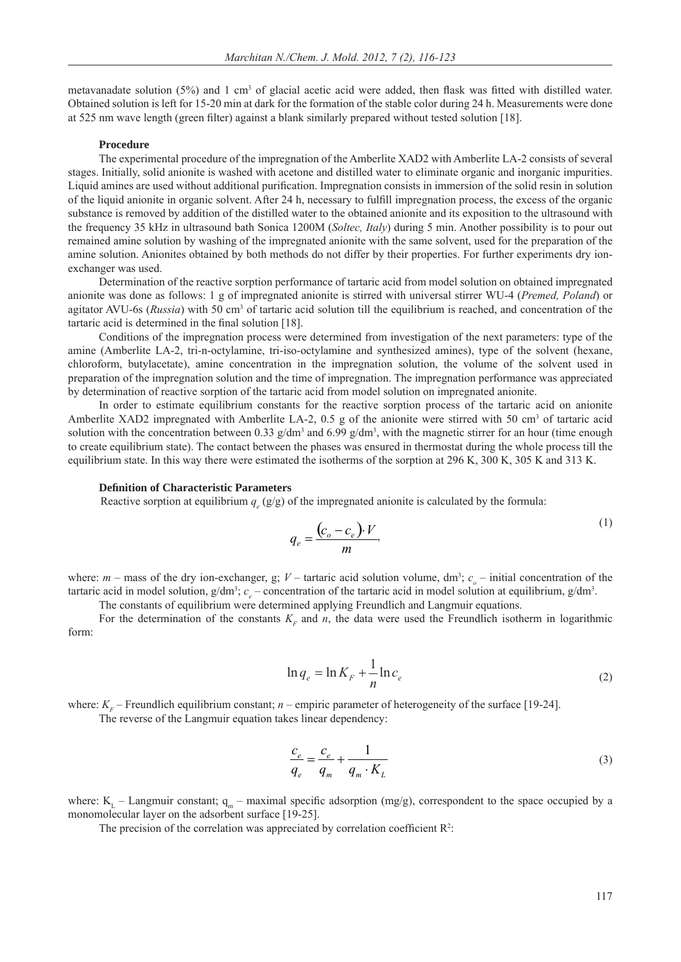metavanadate solution  $(5%)$  and 1 cm<sup>3</sup> of glacial acetic acid were added, then flask was fitted with distilled water. Obtained solution is left for 15-20 min at dark for the formation of the stable color during 24 h. Measurements were done at 525 nm wave length (green filter) against a blank similarly prepared without tested solution [18].

#### **Procedure**

The experimental procedure of the impregnation of the Amberlite XAD2 with Amberlite LA-2 consists of several stages. Initially, solid anionite is washed with acetone and distilled water to eliminate organic and inorganic impurities. Liquid amines are used without additional purification. Impregnation consists in immersion of the solid resin in solution of the liquid anionite in organic solvent. After 24 h, necessary to fulfill impregnation process, the excess of the organic substance is removed by addition of the distilled water to the obtained anionite and its exposition to the ultrasound with the frequency 35 kHz in ultrasound bath Sonica 1200M (*Soltec, Italy*) during 5 min. Another possibility is to pour out remained amine solution by washing of the impregnated anionite with the same solvent, used for the preparation of the amine solution. Anionites obtained by both methods do not differ by their properties. For further experiments dry ionexchanger was used.

Determination of the reactive sorption performance of tartaric acid from model solution on obtained impregnated anionite was done as follows: 1 g of impregnated anionite is stirred with universal stirrer WU-4 (*Premed, Poland*) or agitator AVU-6s (Russia) with 50 cm<sup>3</sup> of tartaric acid solution till the equilibrium is reached, and concentration of the tartaric acid is determined in the final solution  $[18]$ .

Conditions of the impregnation process were determined from investigation of the next parameters: type of the amine (Amberlite LA-2, tri-n-octylamine, tri-iso-octylamine and synthesized amines), type of the solvent (hexane, chloroform, butylacetate), amine concentration in the impregnation solution, the volume of the solvent used in preparation of the impregnation solution and the time of impregnation. The impregnation performance was appreciated by determination of reactive sorption of the tartaric acid from model solution on impregnated anionite.

In order to estimate equilibrium constants for the reactive sorption process of the tartaric acid on anionite Amberlite XAD2 impregnated with Amberlite LA-2, 0.5 g of the anionite were stirred with 50 cm<sup>3</sup> of tartaric acid solution with the concentration between 0.33  $g/dm^3$  and 6.99  $g/dm^3$ , with the magnetic stirrer for an hour (time enough to create equilibrium state). The contact between the phases was ensured in thermostat during the whole process till the equilibrium state. In this way there were estimated the isotherms of the sorption at 296 K, 300 K, 305 K and 313 K.

#### **Defi nition of Characteristic Parameters**

Reactive sorption at equilibrium  $q_e$  (g/g) of the impregnated anionite is calculated by the formula:

$$
q_e = \frac{(c_o - c_e) \cdot V}{m},\tag{1}
$$

where:  $m$  – mass of the dry ion-exchanger, g;  $V$  – tartaric acid solution volume, dm<sup>3</sup>;  $c_o$  – initial concentration of the tartaric acid in model solution,  $g/dm^3$ ;  $c_e$  – concentration of the tartaric acid in model solution at equilibrium,  $g/dm^3$ .

The constants of equilibrium were determined applying Freundlich and Langmuir equations.

For the determination of the constants  $K<sub>F</sub>$  and *n*, the data were used the Freundlich isotherm in logarithmic form:

$$
\ln q_e = \ln K_F + \frac{1}{n} \ln c_e \tag{2}
$$

where:  $K<sub>F</sub>$  – Freundlich equilibrium constant; *n* – empiric parameter of heterogeneity of the surface [19-24].

The reverse of the Langmuir equation takes linear dependency:

$$
\frac{c_e}{q_e} = \frac{c_e}{q_m} + \frac{1}{q_m \cdot K_L} \tag{3}
$$

where:  $K_L$  – Langmuir constant;  $q_m$  – maximal specific adsorption (mg/g), correspondent to the space occupied by a monomolecular layer on the adsorbent surface [19-25].

The precision of the correlation was appreciated by correlation coefficient  $\mathbb{R}^2$ :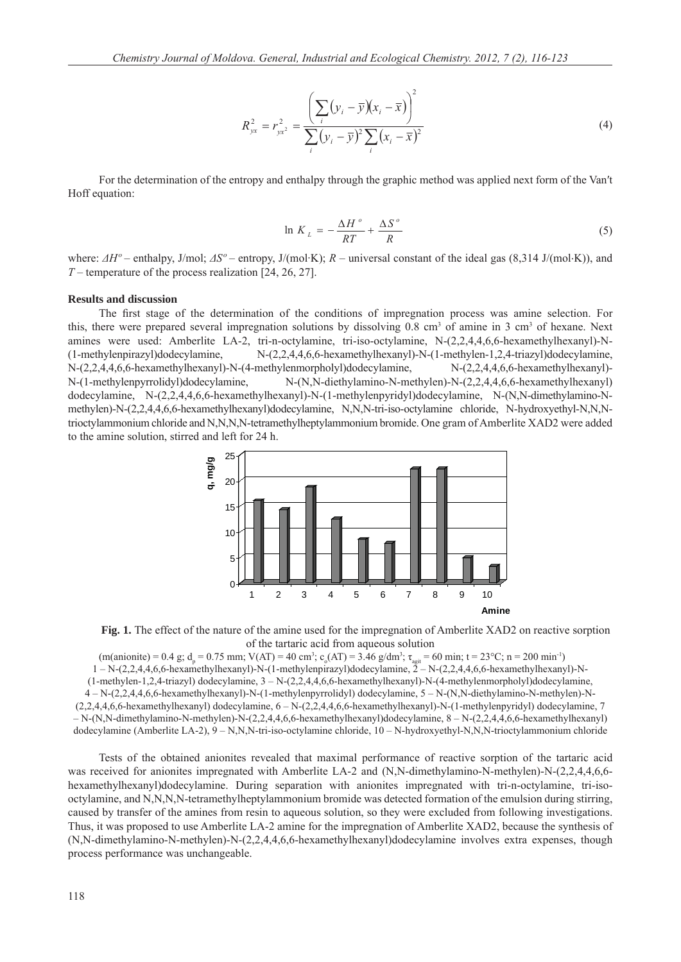$$
R_{yx}^2 = r_{yx^2}^2 = \frac{\left(\sum_{i} (y_i - \overline{y})(x_i - \overline{x})\right)^2}{\sum_{i} (y_i - \overline{y})^2 \sum_{i} (x_i - \overline{x})^2}
$$
(4)

For the determination of the entropy and enthalpy through the graphic method was applied next form of the Van′t Hoff equation:

$$
\ln K_L = -\frac{\Delta H^o}{RT} + \frac{\Delta S^o}{R}
$$
 (5)

where: *ΔHº* – enthalpy, J/mol; *ΔSº* – entropy, J/(mol·K); *R* – universal constant of the ideal gas (8,314 J/(mol⋅K)), and *T* – temperature of the process realization [24, 26, 27].

#### **Results and discussion**

The first stage of the determination of the conditions of impregnation process was amine selection. For this, there were prepared several impregnation solutions by dissolving  $0.8 \text{ cm}^3$  of amine in 3 cm<sup>3</sup> of hexane. Next amines were used: Amberlite LA-2, tri-n-octylamine, tri-iso-octylamine, N-(2,2,4,4,6,6-hexamethylhexanyl)-N- (1-methylenpirazyl)dodecylamine, N-(2,2,4,4,6,6-hexamethylhexanyl)-N-(1-methylen-1,2,4-triazyl)dodecylamine, N-(2,2,4,4,6,6-hexamethylhexanyl)-N-(4-methylenmorpholyl)dodecylamine, N-(2,2,4,4,6,6-hexamethylhexanyl)- N-(1-methylenpyrrolidyl)dodecylamine, N-(N,N-diethylamino-N-methylen)-N-(2,2,4,4,6,6-hexamethylhexanyl) dodecylamine, N-(2,2,4,4,6,6-hexamethylhexanyl)-N-(1-methylenpyridyl)dodecylamine, N-(N,N-dimethylamino-Nmethylen)-N-(2,2,4,4,6,6-hexamethylhexanyl)dodecylamine, N,N,N-tri-iso-octylamine chloride, N-hydroxyethyl-N,N,Ntrioctylammonium chloride and N,N,N,N-tetramethylheptylammonium bromide. One gram of Amberlite XAD2 were added to the amine solution, stirred and left for 24 h.



**Fig. 1.** The effect of the nature of the amine used for the impregnation of Amberlite XAD2 on reactive sorption of the tartaric acid from aqueous solution

 $(m(\text{anionic}) = 0.4 \text{ g}; d_p = 0.75 \text{ mm}; V(AT) = 40 \text{ cm}^3; c_o(AT) = 3.46 \text{ g/dm}^3; \tau_{\text{agit}} = 60 \text{ min}; t = 23 \text{°C}; n = 200 \text{ min}^{-1})$ 1 – N-(2,2,4,4,6,6-hexamethylhexanyl)-N-(1-methylenpirazyl)dodecylamine, 2 – N-(2,2,4,4,6,6-hexamethylhexanyl)-N-  $(1-methylen-1,2,4-triazy)$  dodecylamine,  $3-N-(2,2,4,4,6,6-hexamethylhexanyl)-N-(4-methylenmorpholyl)$ dodecylamine, 4 – N-(2,2,4,4,6,6-hexamethylhexanyl)-N-(1-methylenpyrrolidyl) dodecylamine, 5 – N-(N,N-diethylamino-N-methylen)-N- (2,2,4,4,6,6-hexamethylhexanyl) dodecylamine, 6 – N-(2,2,4,4,6,6-hexamethylhexanyl)-N-(1-methylenpyridyl) dodecylamine, 7 – N-(N,N-dimethylamino-N-methylen)-N-(2,2,4,4,6,6-hexamethylhexanyl)dodecylamine, 8 – N-(2,2,4,4,6,6-hexamethylhexanyl) dodecylamine (Amberlite LA-2), 9 – N,N,N-tri-iso-octylamine chloride, 10 – N-hydroxyethyl-N,N,N-trioctylammonium chloride

Tests of the obtained anionites revealed that maximal performance of reactive sorption of the tartaric acid was received for anionites impregnated with Amberlite LA-2 and (N,N-dimethylamino-N-methylen)-N-(2,2,4,4,6,6hexamethylhexanyl)dodecylamine. During separation with anionites impregnated with tri-n-octylamine, tri-isooctylamine, and N,N,N,N-tetramethylheptylammonium bromide was detected formation of the emulsion during stirring, caused by transfer of the amines from resin to aqueous solution, so they were excluded from following investigations. Thus, it was proposed to use Amberlite LA-2 amine for the impregnation of Amberlite XAD2, because the synthesis of (N,N-dimethylamino-N-methylen)-N-(2,2,4,4,6,6-hexamethylhexanyl)dodecylamine involves extra expenses, though process performance was unchangeable.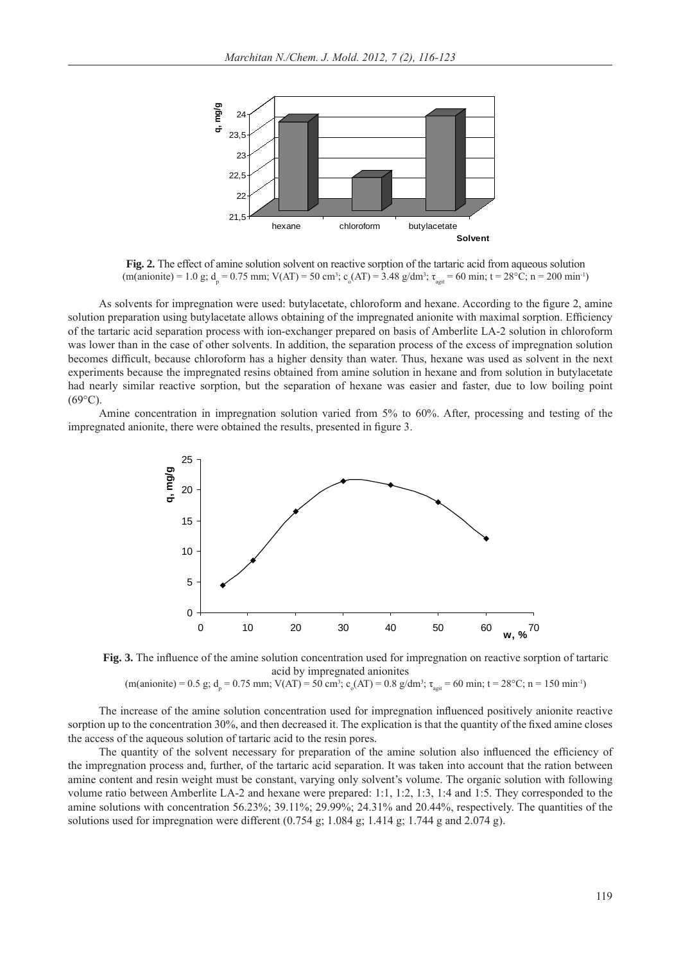

**Fig. 2.** The effect of amine solution solvent on reactive sorption of the tartaric acid from aqueous solution  $(m(\text{anionic}) = 1.0 \text{ g}; d_p = 0.75 \text{ mm}; V(AT) = 50 \text{ cm}^3; c_o(AT) = 3.48 \text{ g/dm}^3; \tau_{\text{agit}} = 60 \text{ min}; t = 28 \degree \text{C}; n = 200 \text{ min}^{-1})$ 

As solvents for impregnation were used: butylacetate, chloroform and hexane. According to the figure 2, amine solution preparation using butylacetate allows obtaining of the impregnated anionite with maximal sorption. Efficiency of the tartaric acid separation process with ion-exchanger prepared on basis of Amberlite LA-2 solution in chloroform was lower than in the case of other solvents. In addition, the separation process of the excess of impregnation solution becomes difficult, because chloroform has a higher density than water. Thus, hexane was used as solvent in the next experiments because the impregnated resins obtained from amine solution in hexane and from solution in butylacetate had nearly similar reactive sorption, but the separation of hexane was easier and faster, due to low boiling point  $(69^{\circ}C)$ .

Amine concentration in impregnation solution varied from 5% to 60%. After, processing and testing of the impregnated anionite, there were obtained the results, presented in figure 3.



**Fig. 3.** The influence of the amine solution concentration used for impregnation on reactive sorption of tartaric acid by impregnated anionites

 $(m(\text{anionic}) = 0.5 \text{ g}; d_p = 0.75 \text{ mm}; V(AT) = 50 \text{ cm}^3; c_o(AT) = 0.8 \text{ g/dm}^3; \tau_{\text{agit}} = 60 \text{ min}; t = 28 \text{°C}; n = 150 \text{ min}^{-1})$ 

The increase of the amine solution concentration used for impregnation influenced positively anionite reactive sorption up to the concentration 30%, and then decreased it. The explication is that the quantity of the fixed amine closes the access of the aqueous solution of tartaric acid to the resin pores.

The quantity of the solvent necessary for preparation of the amine solution also influenced the efficiency of the impregnation process and, further, of the tartaric acid separation. It was taken into account that the ration between amine content and resin weight must be constant, varying only solvent's volume. The organic solution with following volume ratio between Amberlite LA-2 and hexane were prepared: 1:1, 1:2, 1:3, 1:4 and 1:5. They corresponded to the amine solutions with concentration 56.23%; 39.11%; 29.99%; 24.31% and 20.44%, respectively. The quantities of the solutions used for impregnation were different  $(0.754 \text{ g}; 1.084 \text{ g}; 1.414 \text{ g}; 1.744 \text{ g}$  and  $2.074 \text{ g}$ ).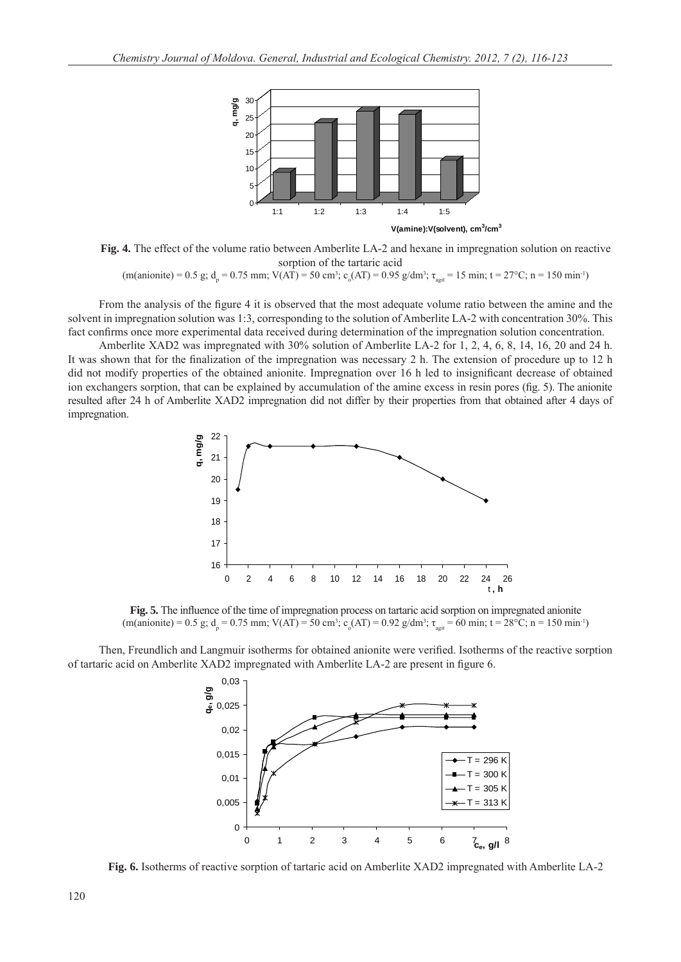

**Fig. 4.** The effect of the volume ratio between Amberlite LA-2 and hexane in impregnation solution on reactive sorption of the tartaric acid

 $(m(\text{anionic}) = 0.5 \text{ g}; d_p = 0.75 \text{ mm}; V(AT) = 50 \text{ cm}^3; c_o(AT) = 0.95 \text{ g/dm}^3; \tau_{\text{agit}} = 15 \text{ min}; t = 27 \text{°C}; n = 150 \text{ min}^{-1})$ 

From the analysis of the figure 4 it is observed that the most adequate volume ratio between the amine and the solvent in impregnation solution was 1:3, corresponding to the solution of Amberlite LA-2 with concentration 30%. This fact confirms once more experimental data received during determination of the impregnation solution concentration.

Amberlite XAD2 was impregnated with 30% solution of Amberlite LA-2 for 1, 2, 4, 6, 8, 14, 16, 20 and 24 h. It was shown that for the finalization of the impregnation was necessary 2 h. The extension of procedure up to 12 h. did not modify properties of the obtained anionite. Impregnation over 16 h led to insignificant decrease of obtained ion exchangers sorption, that can be explained by accumulation of the amine excess in resin pores (fig. 5). The anionite resulted after 24 h of Amberlite XAD2 impregnation did not differ by their properties from that obtained after 4 days of impregnation.



Fig. 5. The influence of the time of impregnation process on tartaric acid sorption on impregnated anionite  $(m(\text{anionic}) = 0.5 \text{ g}; d_p = 0.75 \text{ mm}; V(AT) = 50 \text{ cm}^3; c_o(AT) = 0.92 \text{ g/dm}^3; \tau_{\text{agit}} = 60 \text{ min}; t = 28 \degree \text{C}; n = 150 \text{ min}^{-1})$ 

Then, Freundlich and Langmuir isotherms for obtained anionite were verified. Isotherms of the reactive sorption of tartaric acid on Amberlite XAD2 impregnated with Amberlite LA-2 are present in figure 6.



**Fig. 6.** Isotherms of reactive sorption of tartaric acid on Amberlite XAD2 impregnated with Amberlite LA-2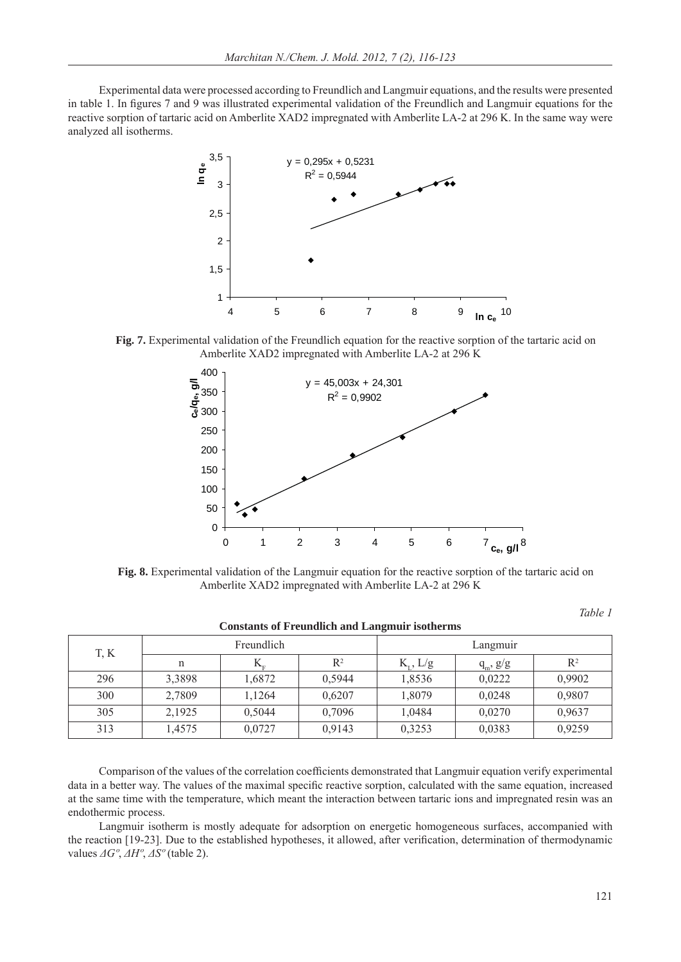Experimental data were processed according to Freundlich and Langmuir equations, and the results were presented in table 1. In figures 7 and 9 was illustrated experimental validation of the Freundlich and Langmuir equations for the reactive sorption of tartaric acid on Amberlite XAD2 impregnated with Amberlite LA-2 at 296 K. In the same way were analyzed all isotherms.



**Fig. 7.** Experimental validation of the Freundlich equation for the reactive sorption of the tartaric acid on Amberlite XAD2 impregnated with Amberlite LA-2 at 296 K



**Fig. 8.** Experimental validation of the Langmuir equation for the reactive sorption of the tartaric acid on Amberlite XAD2 impregnated with Amberlite LA-2 at 296 K

*Table 1* 

| T, K | Freundlich |                           |        | Langmuir           |               |                |
|------|------------|---------------------------|--------|--------------------|---------------|----------------|
|      | n          | $\mathbf{L}_{\mathrm{r}}$ | $R^2$  | $K_{\tau}$ , $L/g$ | $q_m$ , $g/g$ | $\mathbb{R}^2$ |
| 296  | 3,3898     | 1,6872                    | 0,5944 | 1,8536             | 0,0222        | 0,9902         |
| 300  | 2,7809     | 1,1264                    | 0.6207 | 1,8079             | 0,0248        | 0,9807         |
| 305  | 2,1925     | 0,5044                    | 0,7096 | 1,0484             | 0,0270        | 0,9637         |
| 313  | 1,4575     | 0,0727                    | 0,9143 | 0,3253             | 0,0383        | 0,9259         |

Comparison of the values of the correlation coefficients demonstrated that Langmuir equation verify experimental data in a better way. The values of the maximal specific reactive sorption, calculated with the same equation, increased at the same time with the temperature, which meant the interaction between tartaric ions and impregnated resin was an endothermic process.

Langmuir isotherm is mostly adequate for adsorption on energetic homogeneous surfaces, accompanied with the reaction [19-23]. Due to the established hypotheses, it allowed, after verification, determination of thermodynamic values *ΔGº*, *ΔHº*, *ΔSº* (table 2).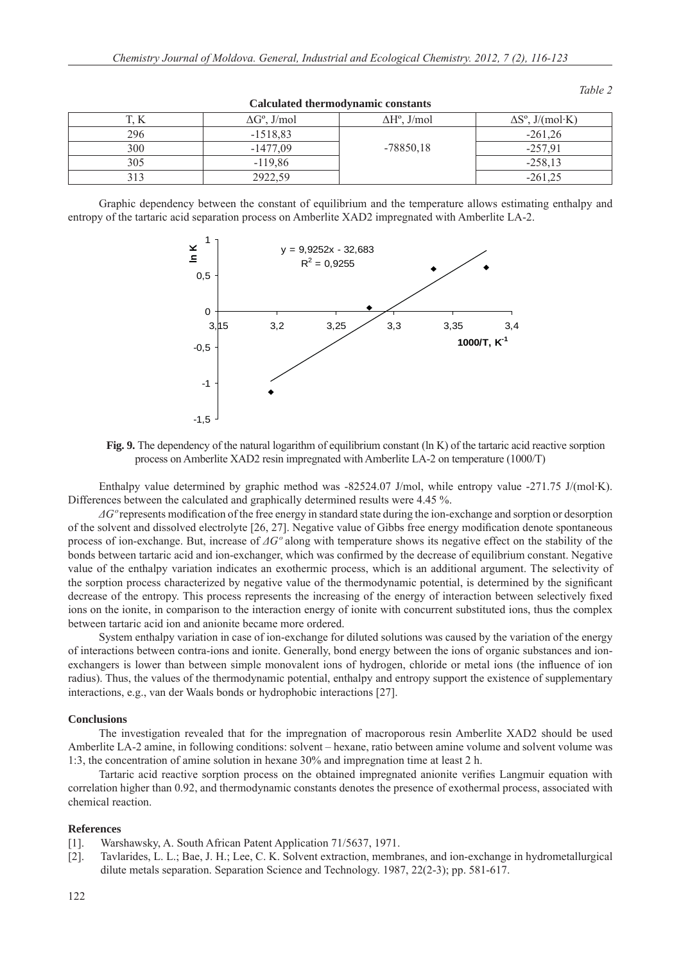| 17  | $\Delta G^{\circ}$ , J/mol | $\Delta H^{\circ}$ , J/mol | $\Delta S^{\circ}$ , J/(mol·K) |  |  |  |  |  |
|-----|----------------------------|----------------------------|--------------------------------|--|--|--|--|--|
| 296 | $-1518,83$                 |                            | $-261.26$                      |  |  |  |  |  |
| 300 | $-1477.09$                 | $-78850,18$                | $-257.91$                      |  |  |  |  |  |
| 305 | $-119,86$                  |                            | $-258,13$                      |  |  |  |  |  |
|     | 2922,59                    |                            | $-261,25$                      |  |  |  |  |  |

**Calculated thermodynamic constants** 

Graphic dependency between the constant of equilibrium and the temperature allows estimating enthalpy and entropy of the tartaric acid separation process on Amberlite XAD2 impregnated with Amberlite LA-2.



**Fig. 9.** The dependency of the natural logarithm of equilibrium constant (ln K) of the tartaric acid reactive sorption process on Amberlite XAD2 resin impregnated with Amberlite LA-2 on temperature (1000/T)

Enthalpy value determined by graphic method was -82524.07 J/mol, while entropy value -271.75 J/(mol·K). Differences between the calculated and graphically determined results were 4.45 %.

 $\Delta G^{\circ}$  represents modification of the free energy in standard state during the ion-exchange and sorption or desorption of the solvent and dissolved electrolyte [26, 27]. Negative value of Gibbs free energy modifi cation denote spontaneous process of ion-exchange. But, increase of *ΔGº* along with temperature shows its negative effect on the stability of the bonds between tartaric acid and ion-exchanger, which was confirmed by the decrease of equilibrium constant. Negative value of the enthalpy variation indicates an exothermic process, which is an additional argument. The selectivity of the sorption process characterized by negative value of the thermodynamic potential, is determined by the significant decrease of the entropy. This process represents the increasing of the energy of interaction between selectively fixed ions on the ionite, in comparison to the interaction energy of ionite with concurrent substituted ions, thus the complex between tartaric acid ion and anionite became more ordered.

System enthalpy variation in case of ion-exchange for diluted solutions was caused by the variation of the energy of interactions between contra-ions and ionite. Generally, bond energy between the ions of organic substances and ionexchangers is lower than between simple monovalent ions of hydrogen, chloride or metal ions (the influence of ion radius). Thus, the values of the thermodynamic potential, enthalpy and entropy support the existence of supplementary interactions, e.g., van der Waals bonds or hydrophobic interactions [27].

#### **Conclusions**

The investigation revealed that for the impregnation of macroporous resin Amberlite XAD2 should be used Amberlite LA-2 amine, in following conditions: solvent – hexane, ratio between amine volume and solvent volume was 1:3, the concentration of amine solution in hexane 30% and impregnation time at least 2 h.

Tartaric acid reactive sorption process on the obtained impregnated anionite verifies Langmuir equation with correlation higher than 0.92, and thermodynamic constants denotes the presence of exothermal process, associated with chemical reaction.

### **References**

- [1]. Warshawsky, A. South African Patent Application 71/5637, 1971.
- [2]. Tavlarides, L. L.; Bae, J. H.; Lee, C. K. Solvent extraction, membranes, and ion-exchange in hydrometallurgical dilute metals separation. Separation Science and Technology. 1987, 22(2-3); pp. 581-617.